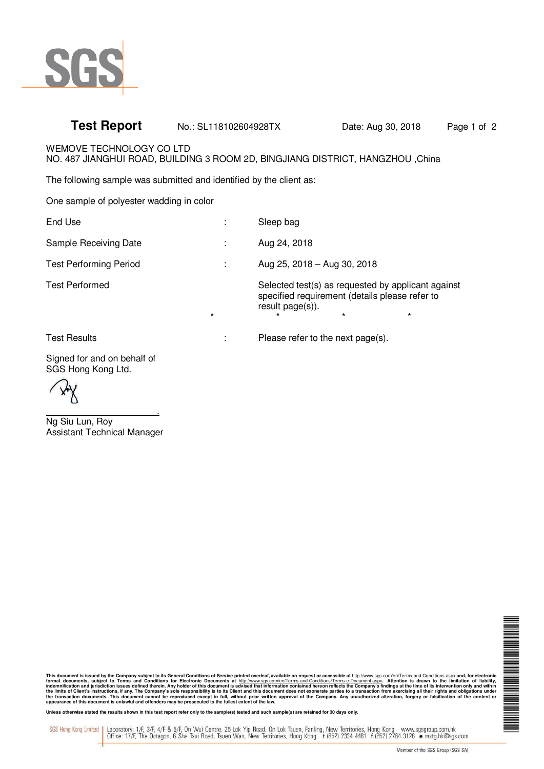

## **Test Report** No.: SL118102604928TX Date: Aug 30, 2018 Page 1 of 2

WEMOVE TECHNOLOGY CO LTD

NO. 487 JIANGHUI ROAD, BUILDING 3 ROOM 2D, BINGJIANG DISTRICT, HANGZHOU ,China

The following sample was submitted and identified by the client as:

One sample of polyester wadding in color

| End Use                       |         | Sleep bag                                                                                                                                      |
|-------------------------------|---------|------------------------------------------------------------------------------------------------------------------------------------------------|
| Sample Receiving Date         |         | Aug 24, 2018                                                                                                                                   |
| <b>Test Performing Period</b> |         | Aug 25, 2018 - Aug 30, 2018                                                                                                                    |
| <b>Test Performed</b>         | $\star$ | Selected test(s) as requested by applicant against<br>specified requirement (details please refer to<br>result page(s)).<br>$\star$<br>$\star$ |
| <b>Test Results</b>           |         | Please refer to the next page(s).                                                                                                              |

Signed for and on behalf of

SGS Hong Kong Ltd.

 . Ng Siu Lun, Roy Assistant Technical Manager

NA NA MARATA NA MARATA NA MARATA NA MARATA NA MARATA NA MARATA NA MARATA NA MARATA NA MARATA NA MARATA NA MARA

This document is issued by the Company subject to its General Conditions of Service printed overleaf, available on request or accessible at http://www.sgs.com/en/Terms-and-Conditions.aspx and, for electronic<br>format documen

Unless otherwise stated the results shown in this test report refer only to the sample(s) tested and such sample(s) are retained for 30 days only.

Laboratory: 1/F, 3/F, 4/F & 5/F, On Wui Centre, 25 Lok Yip Road, On Lok Tsuen, Fanling, New Territories, Hong Kong www.sgsgroup.com.hk<br>Office: 17/F, The Octagon, 6 Sha Tsui Road, Tsuen Wan, New Territories, Hong Kong t (85 SGS Hong Kong Limited